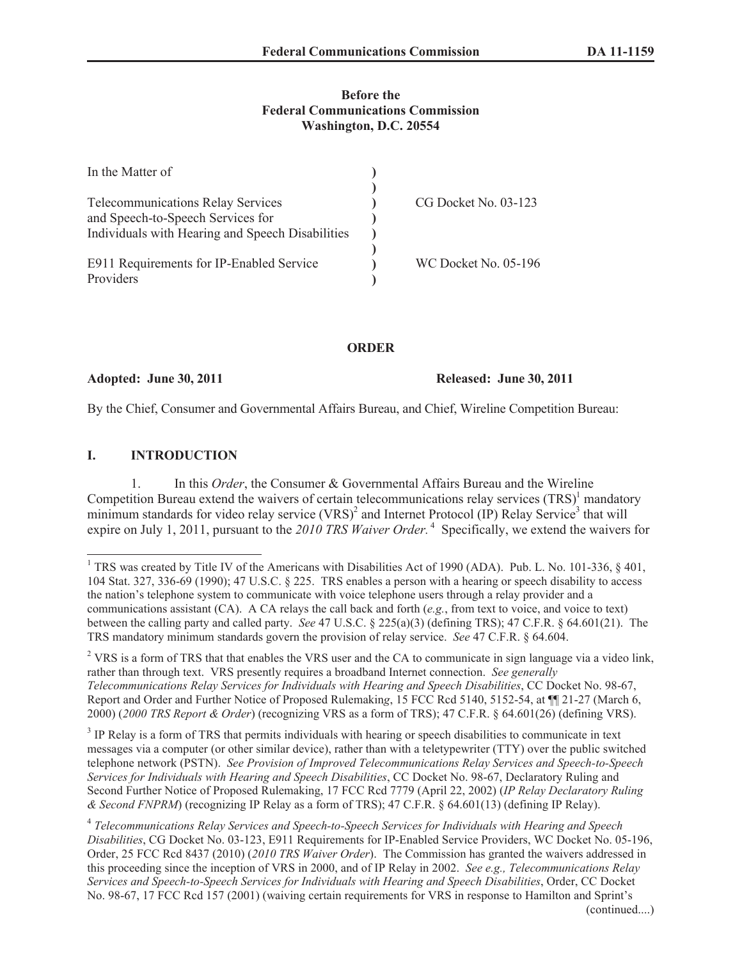## **Before the Federal Communications Commission Washington, D.C. 20554**

| In the Matter of                                 |                      |
|--------------------------------------------------|----------------------|
|                                                  |                      |
| <b>Telecommunications Relay Services</b>         | CG Docket No. 03-123 |
| and Speech-to-Speech Services for                |                      |
| Individuals with Hearing and Speech Disabilities |                      |
|                                                  |                      |
| E911 Requirements for IP-Enabled Service         | WC Docket No. 05-196 |
| Providers                                        |                      |

**ORDER**

**Adopted: June 30, 2011 Released: June 30, 2011**

By the Chief, Consumer and Governmental Affairs Bureau, and Chief, Wireline Competition Bureau:

## **I. INTRODUCTION**

1. In this *Order*, the Consumer & Governmental Affairs Bureau and the Wireline Competition Bureau extend the waivers of certain telecommunications relay services  $(TRS)^1$  mandatory minimum standards for video relay service  $(VRS)^2$  and Internet Protocol (IP) Relay Service<sup>3</sup> that will expire on July 1, 2011, pursuant to the 2010 TRS Waiver Order.<sup>4</sup> Specifically, we extend the waivers for

<sup>&</sup>lt;sup>1</sup> TRS was created by Title IV of the Americans with Disabilities Act of 1990 (ADA). Pub. L. No. 101-336, § 401, 104 Stat. 327, 336-69 (1990); 47 U.S.C. § 225. TRS enables a person with a hearing or speech disability to access the nation's telephone system to communicate with voice telephone users through a relay provider and a communications assistant (CA). A CA relays the call back and forth (*e.g.*, from text to voice, and voice to text) between the calling party and called party. *See* 47 U.S.C. § 225(a)(3) (defining TRS); 47 C.F.R. § 64.601(21). The TRS mandatory minimum standards govern the provision of relay service. *See* 47 C.F.R. § 64.604.

<sup>&</sup>lt;sup>2</sup> VRS is a form of TRS that that enables the VRS user and the CA to communicate in sign language via a video link, rather than through text. VRS presently requires a broadband Internet connection. *See generally Telecommunications Relay Services for Individuals with Hearing and Speech Disabilities*, CC Docket No. 98-67, Report and Order and Further Notice of Proposed Rulemakin*g*, 15 FCC Rcd 5140, 5152-54, at ¶¶ 21-27 (March 6, 2000) (*2000 TRS Report & Order*) (recognizing VRS as a form of TRS); 47 C.F.R. § 64.601(26) (defining VRS).

<sup>&</sup>lt;sup>3</sup> IP Relay is a form of TRS that permits individuals with hearing or speech disabilities to communicate in text messages via a computer (or other similar device), rather than with a teletypewriter (TTY) over the public switched telephone network (PSTN). *See Provision of Improved Telecommunications Relay Services and Speech-to-Speech Services for Individuals with Hearing and Speech Disabilities*, CC Docket No. 98-67, Declaratory Ruling and Second Further Notice of Proposed Rulemaking, 17 FCC Rcd 7779 (April 22, 2002) (*IP Relay Declaratory Ruling & Second FNPRM*) (recognizing IP Relay as a form of TRS); 47 C.F.R. § 64.601(13) (defining IP Relay).

<sup>4</sup> *Telecommunications Relay Services and Speech-to-Speech Services for Individuals with Hearing and Speech Disabilities*, CG Docket No. 03-123, E911 Requirements for IP-Enabled Service Providers, WC Docket No. 05-196, Order, 25 FCC Rcd 8437 (2010) (*2010 TRS Waiver Order*). The Commission has granted the waivers addressed in this proceeding since the inception of VRS in 2000, and of IP Relay in 2002. *See e.g., Telecommunications Relay Services and Speech-to-Speech Services for Individuals with Hearing and Speech Disabilities*, Order, CC Docket No. 98-67, 17 FCC Rcd 157 (2001) (waiving certain requirements for VRS in response to Hamilton and Sprint's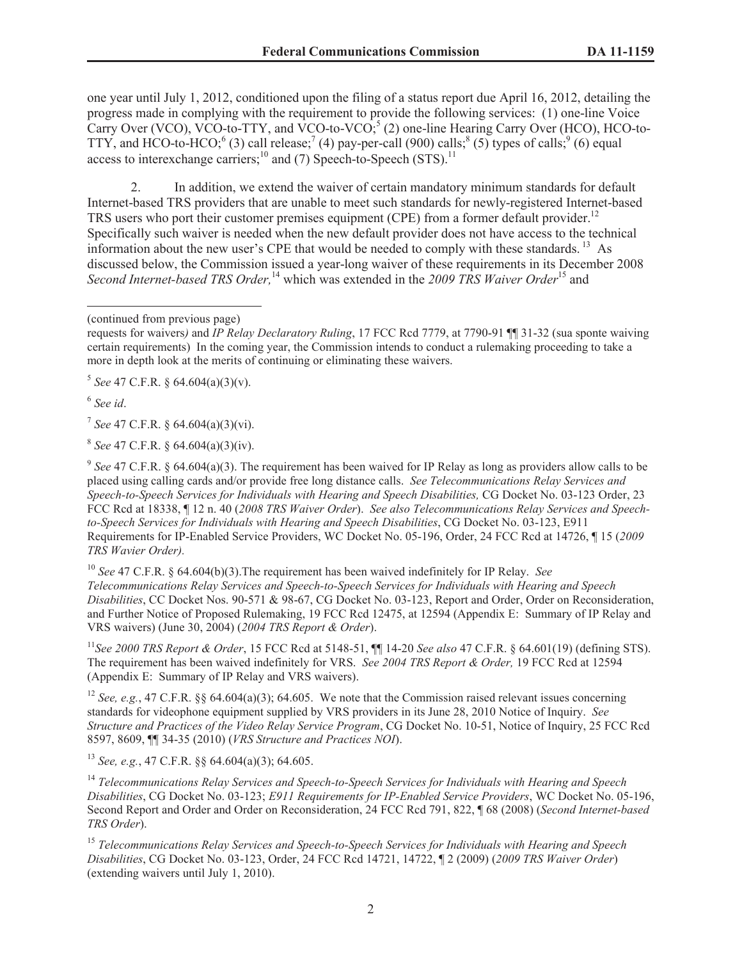one year until July 1, 2012, conditioned upon the filing of a status report due April 16, 2012, detailing the progress made in complying with the requirement to provide the following services: (1) one-line Voice Carry Over (VCO), VCO-to-TTY, and VCO-to-VCO;<sup>5</sup> (2) one-line Hearing Carry Over (HCO), HCO-to-TTY, and HCO-to-HCO;<sup>6</sup> (3) call release;<sup>7</sup> (4) pay-per-call (900) calls;<sup>8</sup> (5) types of calls;<sup>9</sup> (6) equal access to interexchange carriers; $^{10}$  and (7) Speech-to-Speech (STS).<sup>11</sup>

2. In addition, we extend the waiver of certain mandatory minimum standards for default Internet-based TRS providers that are unable to meet such standards for newly-registered Internet-based TRS users who port their customer premises equipment (CPE) from a former default provider.<sup>12</sup> Specifically such waiver is needed when the new default provider does not have access to the technical information about the new user's CPE that would be needed to comply with these standards.<sup>13</sup> As discussed below, the Commission issued a year-long waiver of these requirements in its December 2008 *Second Internet-based TRS Order,*<sup>14</sup> which was extended in the *2009 TRS Waiver Order*<sup>15</sup> and

5 *See* 47 C.F.R. § 64.604(a)(3)(v).

6 *See id*.

7 *See* 47 C.F.R. § 64.604(a)(3)(vi).

8 *See* 47 C.F.R. § 64.604(a)(3)(iv).

<sup>9</sup> See 47 C.F.R. § 64.604(a)(3). The requirement has been waived for IP Relay as long as providers allow calls to be placed using calling cards and/or provide free long distance calls. *See Telecommunications Relay Services and Speech-to-Speech Services for Individuals with Hearing and Speech Disabilities,* CG Docket No. 03-123 Order, 23 FCC Rcd at 18338, ¶ 12 n. 40 (*2008 TRS Waiver Order*). *See also Telecommunications Relay Services and Speechto-Speech Services for Individuals with Hearing and Speech Disabilities*, CG Docket No. 03-123, E911 Requirements for IP-Enabled Service Providers, WC Docket No. 05-196, Order, 24 FCC Rcd at 14726, ¶ 15 (*2009 TRS Wavier Order).*

<sup>10</sup> *See* 47 C.F.R. § 64.604(b)(3).The requirement has been waived indefinitely for IP Relay. *See Telecommunications Relay Services and Speech-to-Speech Services for Individuals with Hearing and Speech Disabilities*, CC Docket Nos. 90-571 & 98-67, CG Docket No. 03-123, Report and Order, Order on Reconsideration, and Further Notice of Proposed Rulemaking, 19 FCC Rcd 12475, at 12594 (Appendix E: Summary of IP Relay and VRS waivers) (June 30, 2004) (*2004 TRS Report & Order*).

<sup>11</sup>*See 2000 TRS Report & Order*, 15 FCC Rcd at 5148-51, ¶¶ 14-20 *See also* 47 C.F.R. § 64.601(19) (defining STS). The requirement has been waived indefinitely for VRS. *See 2004 TRS Report & Order,* 19 FCC Rcd at 12594 (Appendix E: Summary of IP Relay and VRS waivers).

<sup>12</sup> *See, e.g.*, 47 C.F.R. §§ 64.604(a)(3); 64.605. We note that the Commission raised relevant issues concerning standards for videophone equipment supplied by VRS providers in its June 28, 2010 Notice of Inquiry. *See Structure and Practices of the Video Relay Service Program*, CG Docket No. 10-51, Notice of Inquiry, 25 FCC Rcd 8597, 8609, ¶¶ 34-35 (2010) (*VRS Structure and Practices NOI*).

<sup>13</sup> *See, e.g.*, 47 C.F.R. §§ 64.604(a)(3); 64.605.

<sup>14</sup> *Telecommunications Relay Services and Speech-to-Speech Services for Individuals with Hearing and Speech Disabilities*, CG Docket No. 03-123; *E911 Requirements for IP-Enabled Service Providers*, WC Docket No. 05-196, Second Report and Order and Order on Reconsideration, 24 FCC Rcd 791, 822, ¶ 68 (2008) (*Second Internet-based TRS Order*).

<sup>15</sup> *Telecommunications Relay Services and Speech-to-Speech Services for Individuals with Hearing and Speech Disabilities*, CG Docket No. 03-123, Order, 24 FCC Rcd 14721, 14722, ¶ 2 (2009) (*2009 TRS Waiver Order*) (extending waivers until July 1, 2010).

<sup>(</sup>continued from previous page)

requests for waivers*)* and *IP Relay Declaratory Ruling*, 17 FCC Rcd 7779, at 7790-91 ¶¶ 31-32 (sua sponte waiving certain requirements) In the coming year, the Commission intends to conduct a rulemaking proceeding to take a more in depth look at the merits of continuing or eliminating these waivers.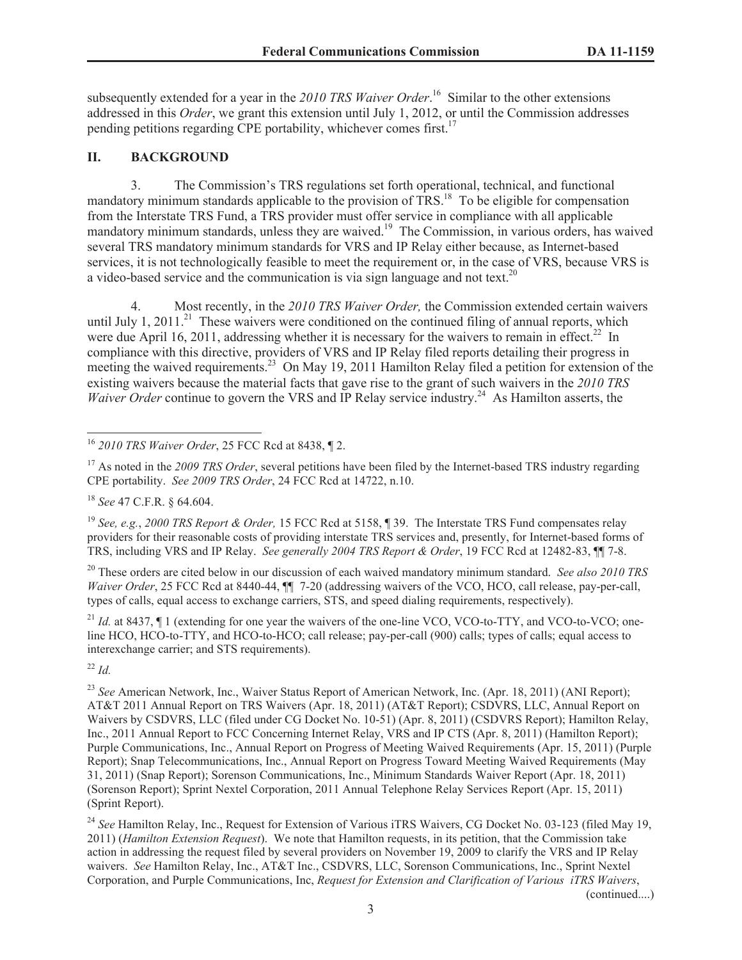subsequently extended for a year in the *2010 TRS Waiver Order*. <sup>16</sup> Similar to the other extensions addressed in this *Order*, we grant this extension until July 1, 2012, or until the Commission addresses pending petitions regarding CPE portability, whichever comes first.<sup>17</sup>

## **II. BACKGROUND**

3. The Commission's TRS regulations set forth operational, technical, and functional mandatory minimum standards applicable to the provision of  $TRS$ <sup>18</sup>. To be eligible for compensation from the Interstate TRS Fund, a TRS provider must offer service in compliance with all applicable mandatory minimum standards, unless they are waived.<sup>19</sup> The Commission, in various orders, has waived several TRS mandatory minimum standards for VRS and IP Relay either because, as Internet-based services, it is not technologically feasible to meet the requirement or, in the case of VRS, because VRS is a video-based service and the communication is via sign language and not text.<sup>20</sup>

4. Most recently, in the *2010 TRS Waiver Order,* the Commission extended certain waivers until July 1, 2011.<sup>21</sup> These waivers were conditioned on the continued filing of annual reports, which were due April 16, 2011, addressing whether it is necessary for the waivers to remain in effect.<sup>22</sup> In compliance with this directive, providers of VRS and IP Relay filed reports detailing their progress in meeting the waived requirements.<sup>23</sup> On May 19, 2011 Hamilton Relay filed a petition for extension of the existing waivers because the material facts that gave rise to the grant of such waivers in the *2010 TRS Waiver Order* continue to govern the VRS and IP Relay service industry.<sup>24</sup> As Hamilton asserts, the

<sup>18</sup> *See* 47 C.F.R. § 64.604.

<sup>19</sup> *See, e.g.*, *2000 TRS Report & Order,* 15 FCC Rcd at 5158, ¶ 39. The Interstate TRS Fund compensates relay providers for their reasonable costs of providing interstate TRS services and, presently, for Internet-based forms of TRS, including VRS and IP Relay. *See generally 2004 TRS Report & Order*, 19 FCC Rcd at 12482-83, ¶¶ 7-8.

<sup>20</sup> These orders are cited below in our discussion of each waived mandatory minimum standard. *See also 2010 TRS Waiver Order*, 25 FCC Rcd at 8440-44,  $\P$  7-20 (addressing waivers of the VCO, HCO, call release, pay-per-call, types of calls, equal access to exchange carriers, STS, and speed dialing requirements, respectively).

<sup>21</sup> *Id.* at 8437. If 1 (extending for one year the waivers of the one-line VCO, VCO-to-TTY, and VCO-to-VCO; oneline HCO, HCO-to-TTY, and HCO-to-HCO; call release; pay-per-call (900) calls; types of calls; equal access to interexchange carrier; and STS requirements).

<sup>22</sup> *Id.*

<sup>23</sup> See American Network, Inc., Waiver Status Report of American Network, Inc. (Apr. 18, 2011) (ANI Report); AT&T 2011 Annual Report on TRS Waivers (Apr. 18, 2011) (AT&T Report); CSDVRS, LLC, Annual Report on Waivers by CSDVRS, LLC (filed under CG Docket No. 10-51) (Apr. 8, 2011) (CSDVRS Report); Hamilton Relay, Inc., 2011 Annual Report to FCC Concerning Internet Relay, VRS and IP CTS (Apr. 8, 2011) (Hamilton Report); Purple Communications, Inc., Annual Report on Progress of Meeting Waived Requirements (Apr. 15, 2011) (Purple Report); Snap Telecommunications, Inc., Annual Report on Progress Toward Meeting Waived Requirements (May 31, 2011) (Snap Report); Sorenson Communications, Inc., Minimum Standards Waiver Report (Apr. 18, 2011) (Sorenson Report); Sprint Nextel Corporation, 2011 Annual Telephone Relay Services Report (Apr. 15, 2011) (Sprint Report).

<sup>24</sup> See Hamilton Relay, Inc., Request for Extension of Various iTRS Waivers, CG Docket No. 03-123 (filed May 19, 2011) (*Hamilton Extension Request*). We note that Hamilton requests, in its petition, that the Commission take action in addressing the request filed by several providers on November 19, 2009 to clarify the VRS and IP Relay waivers. *See* Hamilton Relay, Inc., AT&T Inc., CSDVRS, LLC, Sorenson Communications, Inc., Sprint Nextel Corporation, and Purple Communications, Inc, *Request for Extension and Clarification of Various iTRS Waivers*,

(continued....)

<sup>16</sup> *2010 TRS Waiver Order*, 25 FCC Rcd at 8438, ¶ 2.

<sup>&</sup>lt;sup>17</sup> As noted in the *2009 TRS Order*, several petitions have been filed by the Internet-based TRS industry regarding CPE portability. *See 2009 TRS Order*, 24 FCC Rcd at 14722, n.10.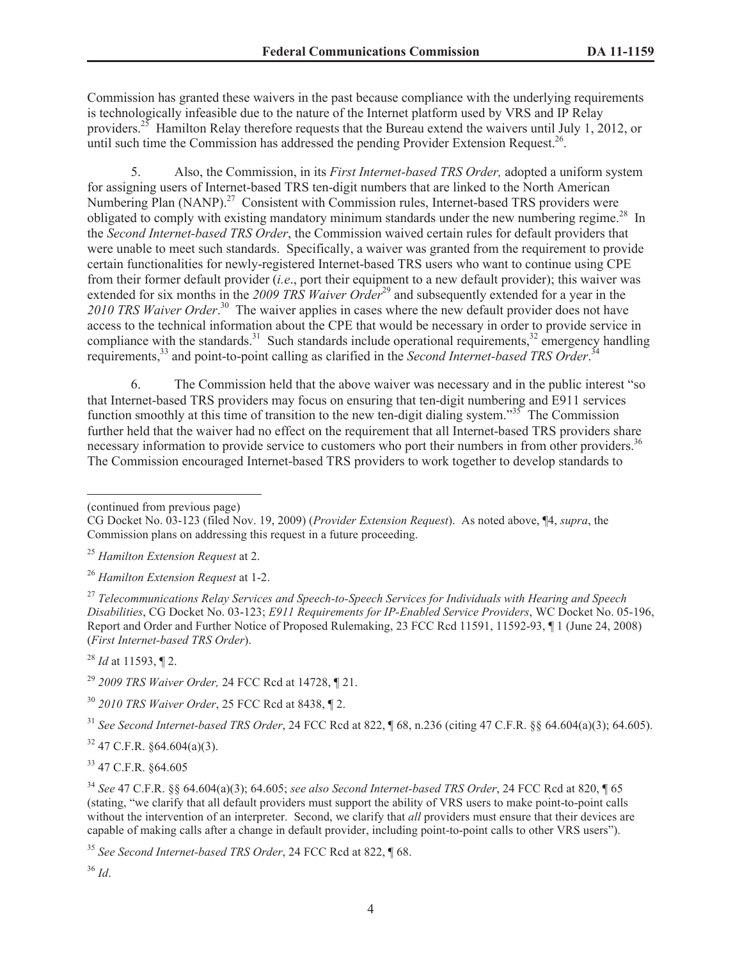Commission has granted these waivers in the past because compliance with the underlying requirements is technologically infeasible due to the nature of the Internet platform used by VRS and IP Relay providers.<sup>25</sup> Hamilton Relay therefore requests that the Bureau extend the waivers until July 1, 2012, or until such time the Commission has addressed the pending Provider Extension Request.<sup>26</sup>.

5. Also, the Commission, in its *First Internet-based TRS Order,* adopted a uniform system for assigning users of Internet-based TRS ten-digit numbers that are linked to the North American Numbering Plan (NANP).<sup>27</sup> Consistent with Commission rules, Internet-based TRS providers were obligated to comply with existing mandatory minimum standards under the new numbering regime.<sup>28</sup> In the *Second Internet-based TRS Order*, the Commission waived certain rules for default providers that were unable to meet such standards. Specifically, a waiver was granted from the requirement to provide certain functionalities for newly-registered Internet-based TRS users who want to continue using CPE from their former default provider (*i.e*., port their equipment to a new default provider); this waiver was extended for six months in the 2009 TRS Waiver Order<sup>29</sup> and subsequently extended for a year in the 2010 TRS Waiver Order.<sup>30</sup> The waiver applies in cases where the new default provider does not have access to the technical information about the CPE that would be necessary in order to provide service in compliance with the standards.<sup>31</sup> Such standards include operational requirements,<sup>32</sup> emergency handling requirements,<sup>33</sup> and point-to-point calling as clarified in the *Second Internet-based TRS Order*.<sup>34</sup>

6. The Commission held that the above waiver was necessary and in the public interest "so that Internet-based TRS providers may focus on ensuring that ten-digit numbering and E911 services function smoothly at this time of transition to the new ten-digit dialing system."<sup>35</sup> The Commission further held that the waiver had no effect on the requirement that all Internet-based TRS providers share necessary information to provide service to customers who port their numbers in from other providers.<sup>36</sup> The Commission encouraged Internet-based TRS providers to work together to develop standards to

(continued from previous page)

<sup>28</sup> *Id* at 11593, ¶ 2.

<sup>29</sup> *2009 TRS Waiver Order,* 24 FCC Rcd at 14728, ¶ 21.

<sup>30</sup> *2010 TRS Waiver Order*, 25 FCC Rcd at 8438, ¶ 2.

<sup>31</sup> *See Second Internet-based TRS Order*, 24 FCC Rcd at 822, ¶ 68, n.236 (citing 47 C.F.R. §§ 64.604(a)(3); 64.605).

 $32$  47 C.F.R.  $\frac{$64.604(a)(3)}{64}$ .

<sup>33</sup> 47 C.F.R. §64.605

<sup>34</sup> *See* 47 C.F.R. §§ 64.604(a)(3); 64.605; *see also Second Internet-based TRS Order*, 24 FCC Rcd at 820, ¶ 65 (stating, "we clarify that all default providers must support the ability of VRS users to make point-to-point calls without the intervention of an interpreter. Second, we clarify that *all* providers must ensure that their devices are capable of making calls after a change in default provider, including point-to-point calls to other VRS users").

<sup>35</sup> *See Second Internet-based TRS Order*, 24 FCC Rcd at 822, ¶ 68.

<sup>36</sup> *Id*.

CG Docket No. 03-123 (filed Nov. 19, 2009) (*Provider Extension Request*). As noted above, ¶4, *supra*, the Commission plans on addressing this request in a future proceeding.

<sup>25</sup> *Hamilton Extension Request* at 2.

<sup>26</sup> *Hamilton Extension Request* at 1-2.

<sup>27</sup> *Telecommunications Relay Services and Speech-to-Speech Services for Individuals with Hearing and Speech Disabilities*, CG Docket No. 03-123; *E911 Requirements for IP-Enabled Service Providers*, WC Docket No. 05-196, Report and Order and Further Notice of Proposed Rulemaking, 23 FCC Rcd 11591, 11592-93, ¶ 1 (June 24, 2008) (*First Internet-based TRS Order*).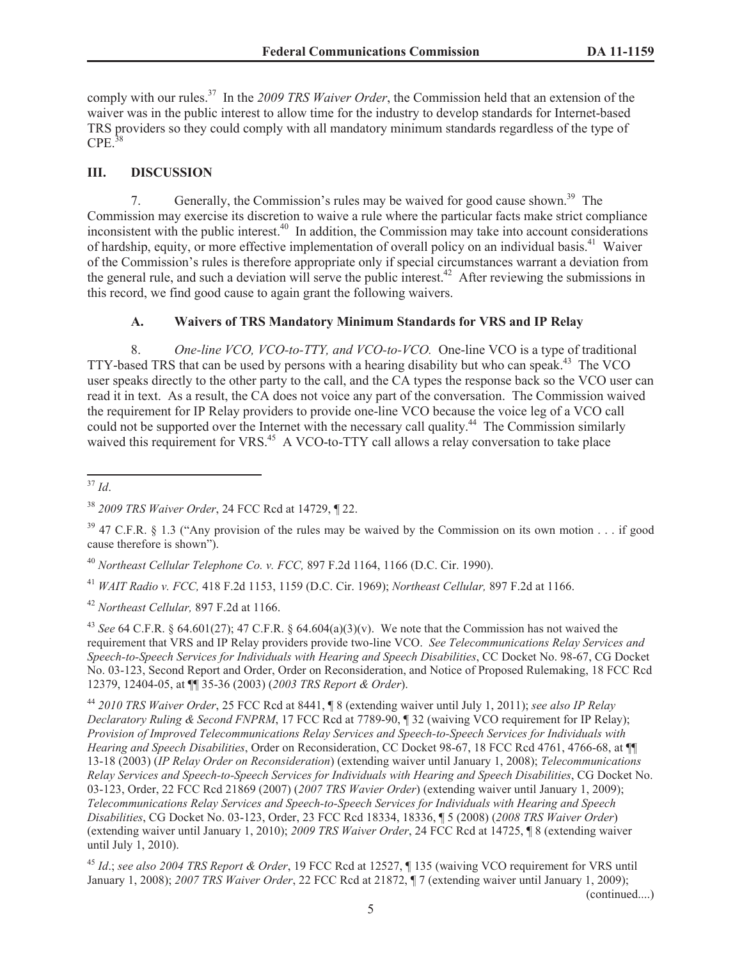comply with our rules.<sup>37</sup> In the *2009 TRS Waiver Order*, the Commission held that an extension of the waiver was in the public interest to allow time for the industry to develop standards for Internet-based TRS providers so they could comply with all mandatory minimum standards regardless of the type of  $CPE.<sup>38</sup>$ 

# **III. DISCUSSION**

7. Generally, the Commission's rules may be waived for good cause shown.<sup>39</sup> The Commission may exercise its discretion to waive a rule where the particular facts make strict compliance inconsistent with the public interest.<sup>40</sup> In addition, the Commission may take into account considerations of hardship, equity, or more effective implementation of overall policy on an individual basis.<sup>41</sup> Waiver of the Commission's rules is therefore appropriate only if special circumstances warrant a deviation from the general rule, and such a deviation will serve the public interest.<sup>42</sup> After reviewing the submissions in this record, we find good cause to again grant the following waivers.

# **A. Waivers of TRS Mandatory Minimum Standards for VRS and IP Relay**

8. *One-line VCO, VCO-to-TTY, and VCO-to-VCO.* One-line VCO is a type of traditional TTY-based TRS that can be used by persons with a hearing disability but who can speak.<sup>43</sup> The VCO user speaks directly to the other party to the call, and the CA types the response back so the VCO user can read it in text. As a result, the CA does not voice any part of the conversation. The Commission waived the requirement for IP Relay providers to provide one-line VCO because the voice leg of a VCO call could not be supported over the Internet with the necessary call quality.<sup>44</sup> The Commission similarly waived this requirement for VRS.<sup>45</sup> A VCO-to-TTY call allows a relay conversation to take place

<sup>37</sup> *Id*.

<sup>40</sup> *Northeast Cellular Telephone Co. v. FCC,* 897 F.2d 1164, 1166 (D.C. Cir. 1990).

<sup>41</sup> *WAIT Radio v. FCC,* 418 F.2d 1153, 1159 (D.C. Cir. 1969); *Northeast Cellular,* 897 F.2d at 1166.

<sup>42</sup> *Northeast Cellular,* 897 F.2d at 1166.

<sup>43</sup> *See* 64 C.F.R. § 64.601(27); 47 C.F.R. § 64.604(a)(3)(v). We note that the Commission has not waived the requirement that VRS and IP Relay providers provide two-line VCO. *See Telecommunications Relay Services and Speech-to-Speech Services for Individuals with Hearing and Speech Disabilities*, CC Docket No. 98-67, CG Docket No. 03-123, Second Report and Order, Order on Reconsideration, and Notice of Proposed Rulemaking, 18 FCC Rcd 12379, 12404-05, at ¶¶ 35-36 (2003) (*2003 TRS Report & Order*).

<sup>44</sup> *2010 TRS Waiver Order*, 25 FCC Rcd at 8441, ¶ 8 (extending waiver until July 1, 2011); *see also IP Relay Declaratory Ruling & Second FNPRM*, 17 FCC Rcd at 7789-90, ¶ 32 (waiving VCO requirement for IP Relay); *Provision of Improved Telecommunications Relay Services and Speech-to-Speech Services for Individuals with Hearing and Speech Disabilities*, Order on Reconsideration, CC Docket 98-67, 18 FCC Rcd 4761, 4766-68, at ¶¶ 13-18 (2003) (*IP Relay Order on Reconsideration*) (extending waiver until January 1, 2008); *Telecommunications Relay Services and Speech-to-Speech Services for Individuals with Hearing and Speech Disabilities*, CG Docket No. 03-123, Order, 22 FCC Rcd 21869 (2007) (*2007 TRS Wavier Order*) (extending waiver until January 1, 2009); *Telecommunications Relay Services and Speech-to-Speech Services for Individuals with Hearing and Speech Disabilities*, CG Docket No. 03-123, Order, 23 FCC Rcd 18334, 18336, ¶ 5 (2008) (*2008 TRS Waiver Order*) (extending waiver until January 1, 2010); *2009 TRS Waiver Order*, 24 FCC Rcd at 14725, ¶ 8 (extending waiver until July 1, 2010).

<sup>45</sup> *Id*.; *see also 2004 TRS Report & Order*, 19 FCC Rcd at 12527, ¶ 135 (waiving VCO requirement for VRS until January 1, 2008); *2007 TRS Waiver Order*, 22 FCC Rcd at 21872, ¶ 7 (extending waiver until January 1, 2009);

(continued....)

<sup>38</sup> *2009 TRS Waiver Order*, 24 FCC Rcd at 14729, ¶ 22.

 $39$  47 C.F.R. § 1.3 ("Any provision of the rules may be waived by the Commission on its own motion  $\ldots$  if good cause therefore is shown").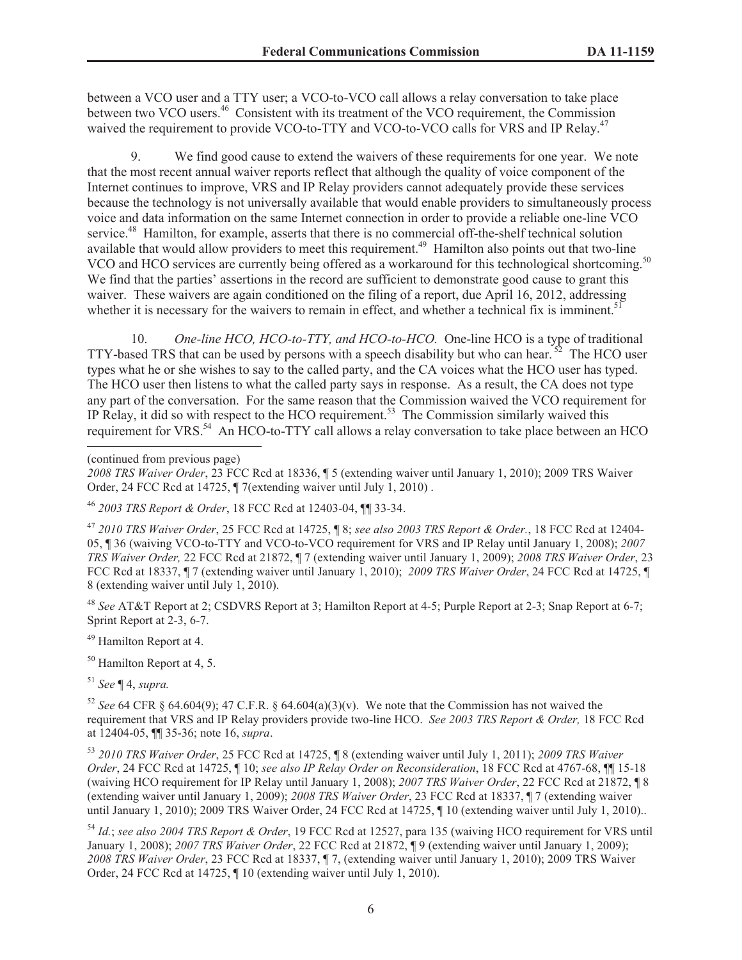between a VCO user and a TTY user; a VCO-to-VCO call allows a relay conversation to take place between two VCO users.<sup>46</sup> Consistent with its treatment of the VCO requirement, the Commission waived the requirement to provide VCO-to-TTY and VCO-to-VCO calls for VRS and IP Relay.<sup>47</sup>

9. We find good cause to extend the waivers of these requirements for one year. We note that the most recent annual waiver reports reflect that although the quality of voice component of the Internet continues to improve, VRS and IP Relay providers cannot adequately provide these services because the technology is not universally available that would enable providers to simultaneously process voice and data information on the same Internet connection in order to provide a reliable one-line VCO service.<sup>48</sup> Hamilton, for example, asserts that there is no commercial off-the-shelf technical solution available that would allow providers to meet this requirement.<sup>49</sup> Hamilton also points out that two-line VCO and HCO services are currently being offered as a workaround for this technological shortcoming.<sup>50</sup> We find that the parties' assertions in the record are sufficient to demonstrate good cause to grant this waiver. These waivers are again conditioned on the filing of a report, due April 16, 2012, addressing whether it is necessary for the waivers to remain in effect, and whether a technical fix is imminent.<sup>51</sup>

10. *One-line HCO, HCO-to-TTY, and HCO-to-HCO.* One-line HCO is a type of traditional TTY-based TRS that can be used by persons with a speech disability but who can hear.  $52$  The HCO user types what he or she wishes to say to the called party, and the CA voices what the HCO user has typed. The HCO user then listens to what the called party says in response. As a result, the CA does not type any part of the conversation. For the same reason that the Commission waived the VCO requirement for IP Relay, it did so with respect to the HCO requirement.<sup>53</sup> The Commission similarly waived this requirement for VRS.<sup>54</sup> An HCO-to-TTY call allows a relay conversation to take place between an HCO

(continued from previous page)

<sup>47</sup> *2010 TRS Waiver Order*, 25 FCC Rcd at 14725, ¶ 8; *see also 2003 TRS Report & Order.*, 18 FCC Rcd at 12404- 05, ¶ 36 (waiving VCO-to-TTY and VCO-to-VCO requirement for VRS and IP Relay until January 1, 2008); *2007 TRS Waiver Order,* 22 FCC Rcd at 21872, ¶ 7 (extending waiver until January 1, 2009); *2008 TRS Waiver Order*, 23 FCC Rcd at 18337, ¶ 7 (extending waiver until January 1, 2010); *2009 TRS Waiver Order*, 24 FCC Rcd at 14725, ¶ 8 (extending waiver until July 1, 2010).

<sup>48</sup> *See* AT&T Report at 2; CSDVRS Report at 3; Hamilton Report at 4-5; Purple Report at 2-3; Snap Report at 6-7; Sprint Report at 2-3, 6-7.

<sup>49</sup> Hamilton Report at 4.

<sup>50</sup> Hamilton Report at 4, 5.

<sup>51</sup> *See* ¶ 4, *supra.*

<sup>52</sup> *See* 64 CFR § 64.604(9); 47 C.F.R. § 64.604(a)(3)(v). We note that the Commission has not waived the requirement that VRS and IP Relay providers provide two-line HCO. *See 2003 TRS Report & Order,* 18 FCC Rcd at 12404-05, ¶¶ 35-36; note 16, *supra*.

<sup>53</sup> *2010 TRS Waiver Order*, 25 FCC Rcd at 14725, ¶ 8 (extending waiver until July 1, 2011); *2009 TRS Waiver Order*, 24 FCC Rcd at 14725, ¶ 10; *see also IP Relay Order on Reconsideration*, 18 FCC Rcd at 4767-68, ¶¶ 15-18 (waiving HCO requirement for IP Relay until January 1, 2008); *2007 TRS Waiver Order*, 22 FCC Rcd at 21872, ¶ 8 (extending waiver until January 1, 2009); *2008 TRS Waiver Order*, 23 FCC Rcd at 18337, ¶ 7 (extending waiver until January 1, 2010); 2009 TRS Waiver Order, 24 FCC Rcd at 14725, ¶ 10 (extending waiver until July 1, 2010)..

<sup>54</sup> *Id.*; *see also 2004 TRS Report & Order*, 19 FCC Rcd at 12527, para 135 (waiving HCO requirement for VRS until January 1, 2008); *2007 TRS Waiver Order*, 22 FCC Rcd at 21872, ¶ 9 (extending waiver until January 1, 2009); *2008 TRS Waiver Order*, 23 FCC Rcd at 18337, ¶ 7, (extending waiver until January 1, 2010); 2009 TRS Waiver Order, 24 FCC Rcd at 14725, ¶ 10 (extending waiver until July 1, 2010).

*<sup>2008</sup> TRS Waiver Order*, 23 FCC Rcd at 18336, ¶ 5 (extending waiver until January 1, 2010); 2009 TRS Waiver Order, 24 FCC Rcd at 14725, ¶ 7(extending waiver until July 1, 2010) .

<sup>46</sup> *2003 TRS Report & Order*, 18 FCC Rcd at 12403-04, ¶¶ 33-34.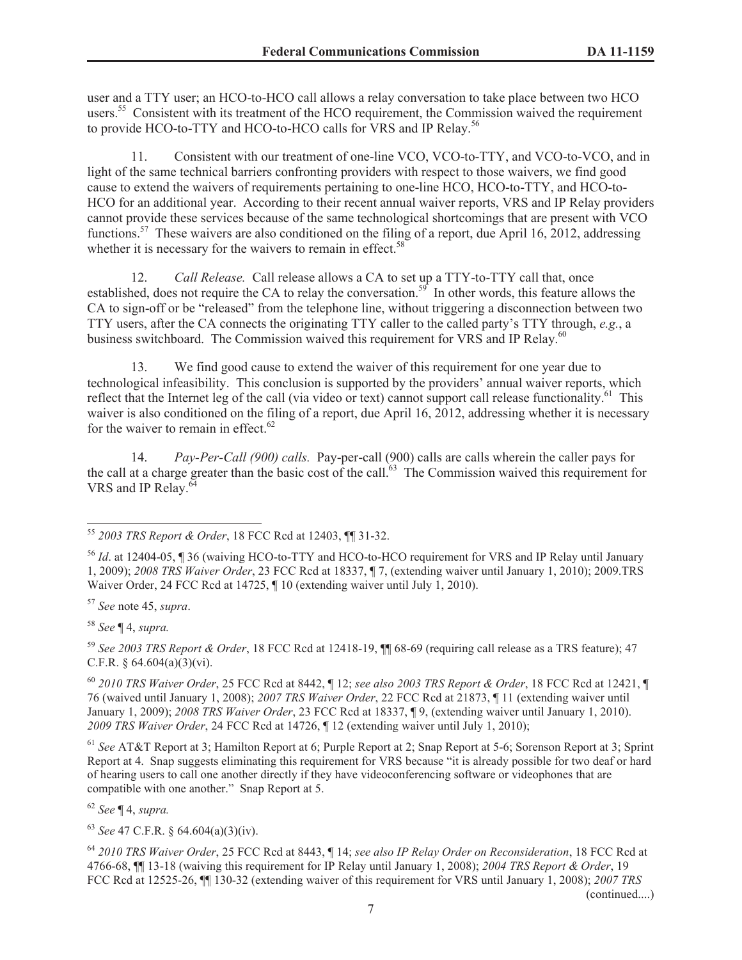user and a TTY user; an HCO-to-HCO call allows a relay conversation to take place between two HCO users.<sup>55</sup> Consistent with its treatment of the HCO requirement, the Commission waived the requirement to provide HCO-to-TTY and HCO-to-HCO calls for VRS and IP Relay.<sup>56</sup>

11. Consistent with our treatment of one-line VCO, VCO-to-TTY, and VCO-to-VCO, and in light of the same technical barriers confronting providers with respect to those waivers, we find good cause to extend the waivers of requirements pertaining to one-line HCO, HCO-to-TTY, and HCO-to-HCO for an additional year. According to their recent annual waiver reports, VRS and IP Relay providers cannot provide these services because of the same technological shortcomings that are present with VCO functions.<sup>57</sup> These waivers are also conditioned on the filing of a report, due April 16, 2012, addressing whether it is necessary for the waivers to remain in effect.<sup>58</sup>

12. *Call Release.* Call release allows a CA to set up a TTY-to-TTY call that, once established, does not require the CA to relay the conversation.<sup>59</sup> In other words, this feature allows the CA to sign-off or be "released" from the telephone line, without triggering a disconnection between two TTY users, after the CA connects the originating TTY caller to the called party's TTY through, *e.g.*, a business switchboard. The Commission waived this requirement for VRS and IP Relay.<sup>60</sup>

13. We find good cause to extend the waiver of this requirement for one year due to technological infeasibility. This conclusion is supported by the providers' annual waiver reports, which reflect that the Internet leg of the call (via video or text) cannot support call release functionality.<sup>61</sup> This waiver is also conditioned on the filing of a report, due April 16, 2012, addressing whether it is necessary for the waiver to remain in effect. $62$ 

14. *Pay-Per-Call (900) calls.* Pay-per-call (900) calls are calls wherein the caller pays for the call at a charge greater than the basic cost of the call. $63$  The Commission waived this requirement for VRS and IP Relay.<sup>6</sup>

<sup>57</sup> *See* note 45, *supra*.

<sup>58</sup> *See* ¶ 4, *supra.*

<sup>59</sup> *See 2003 TRS Report & Order*, 18 FCC Rcd at 12418-19, ¶¶ 68-69 (requiring call release as a TRS feature); 47 C.F.R. § 64.604(a)(3)(vi).

<sup>60</sup> *2010 TRS Waiver Order*, 25 FCC Rcd at 8442, ¶ 12; *see also 2003 TRS Report & Order*, 18 FCC Rcd at 12421, ¶ 76 (waived until January 1, 2008); *2007 TRS Waiver Order*, 22 FCC Rcd at 21873, ¶ 11 (extending waiver until January 1, 2009); *2008 TRS Waiver Order*, 23 FCC Rcd at 18337, ¶ 9, (extending waiver until January 1, 2010). *2009 TRS Waiver Order*, 24 FCC Rcd at 14726, ¶ 12 (extending waiver until July 1, 2010);

<sup>61</sup> *See* AT&T Report at 3; Hamilton Report at 6; Purple Report at 2; Snap Report at 5-6; Sorenson Report at 3; Sprint Report at 4. Snap suggests eliminating this requirement for VRS because "it is already possible for two deaf or hard of hearing users to call one another directly if they have videoconferencing software or videophones that are compatible with one another." Snap Report at 5.

<sup>62</sup> *See* ¶ 4, *supra.*

<sup>63</sup> *See* 47 C.F.R. § 64.604(a)(3)(iv).

<sup>64</sup> *2010 TRS Waiver Order*, 25 FCC Rcd at 8443, ¶ 14; *see also IP Relay Order on Reconsideration*, 18 FCC Rcd at 4766-68, ¶¶ 13-18 (waiving this requirement for IP Relay until January 1, 2008); *2004 TRS Report & Order*, 19 FCC Rcd at 12525-26, ¶¶ 130-32 (extending waiver of this requirement for VRS until January 1, 2008); *2007 TRS* 

(continued....)

<sup>55</sup> *2003 TRS Report & Order*, 18 FCC Rcd at 12403, ¶¶ 31-32.

<sup>56</sup> *Id*. at 12404-05, ¶ 36 (waiving HCO-to-TTY and HCO-to-HCO requirement for VRS and IP Relay until January 1, 2009); *2008 TRS Waiver Order*, 23 FCC Rcd at 18337, ¶ 7, (extending waiver until January 1, 2010); 2009.TRS Waiver Order, 24 FCC Rcd at 14725,  $\P$  10 (extending waiver until July 1, 2010).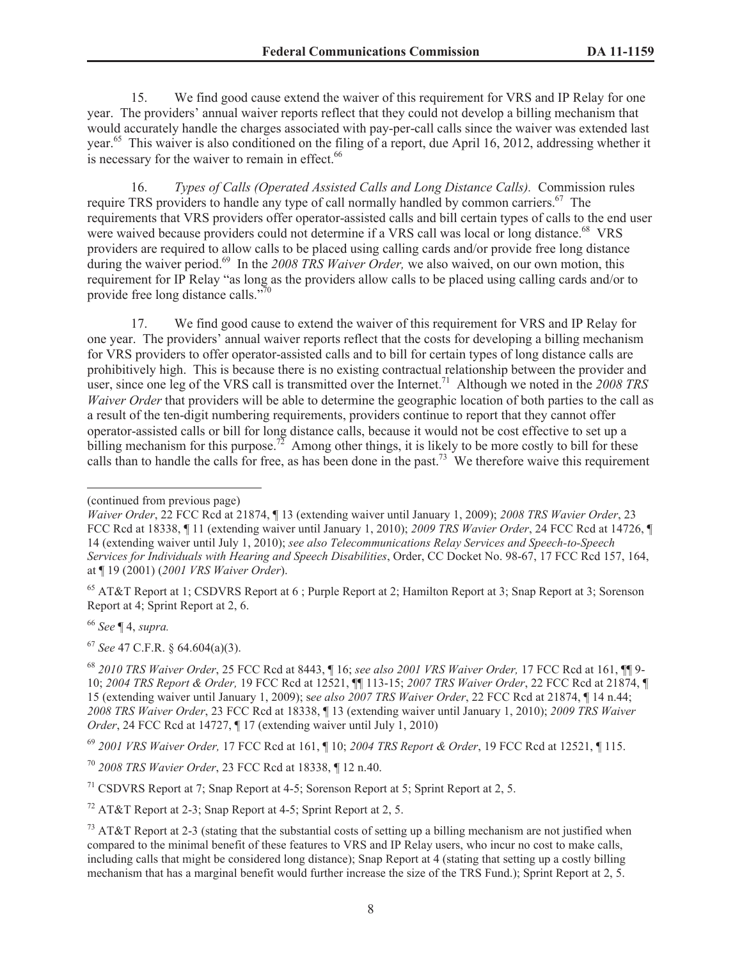15. We find good cause extend the waiver of this requirement for VRS and IP Relay for one year. The providers' annual waiver reports reflect that they could not develop a billing mechanism that would accurately handle the charges associated with pay-per-call calls since the waiver was extended last year.<sup>65</sup> This waiver is also conditioned on the filing of a report, due April 16, 2012, addressing whether it is necessary for the waiver to remain in effect.<sup>66</sup>

16. *Types of Calls (Operated Assisted Calls and Long Distance Calls).* Commission rules require TRS providers to handle any type of call normally handled by common carriers.<sup>67</sup> The requirements that VRS providers offer operator-assisted calls and bill certain types of calls to the end user were waived because providers could not determine if a VRS call was local or long distance.<sup>68</sup> VRS providers are required to allow calls to be placed using calling cards and/or provide free long distance during the waiver period.<sup>69</sup> In the 2008 TRS Waiver Order, we also waived, on our own motion, this requirement for IP Relay "as long as the providers allow calls to be placed using calling cards and/or to provide free long distance calls." $\frac{70}{2}$ 

17. We find good cause to extend the waiver of this requirement for VRS and IP Relay for one year. The providers' annual waiver reports reflect that the costs for developing a billing mechanism for VRS providers to offer operator-assisted calls and to bill for certain types of long distance calls are prohibitively high. This is because there is no existing contractual relationship between the provider and user, since one leg of the VRS call is transmitted over the Internet.<sup>71</sup> Although we noted in the 2008 TRS *Waiver Order* that providers will be able to determine the geographic location of both parties to the call as a result of the ten-digit numbering requirements, providers continue to report that they cannot offer operator-assisted calls or bill for long distance calls, because it would not be cost effective to set up a billing mechanism for this purpose.<sup>72</sup> Among other things, it is likely to be more costly to bill for these calls than to handle the calls for free, as has been done in the past.<sup>73</sup> We therefore waive this requirement

<sup>66</sup> *See* ¶ 4, *supra.*

<sup>67</sup> *See* 47 C.F.R. § 64.604(a)(3).

<sup>69</sup> *2001 VRS Waiver Order,* 17 FCC Rcd at 161, ¶ 10; *2004 TRS Report & Order*, 19 FCC Rcd at 12521, ¶ 115.

<sup>(</sup>continued from previous page)

*Waiver Order*, 22 FCC Rcd at 21874, ¶ 13 (extending waiver until January 1, 2009); *2008 TRS Wavier Order*, 23 FCC Rcd at 18338, ¶ 11 (extending waiver until January 1, 2010); *2009 TRS Wavier Order*, 24 FCC Rcd at 14726, ¶ 14 (extending waiver until July 1, 2010); *see also Telecommunications Relay Services and Speech-to-Speech Services for Individuals with Hearing and Speech Disabilities*, Order, CC Docket No. 98-67, 17 FCC Rcd 157, 164, at ¶ 19 (2001) (*2001 VRS Waiver Order*).

<sup>65</sup> AT&T Report at 1; CSDVRS Report at 6 ; Purple Report at 2; Hamilton Report at 3; Snap Report at 3; Sorenson Report at 4; Sprint Report at 2, 6.

<sup>68</sup> *2010 TRS Waiver Order*, 25 FCC Rcd at 8443, ¶ 16; *see also 2001 VRS Waiver Order,* 17 FCC Rcd at 161, ¶¶ 9- 10; *2004 TRS Report & Order,* 19 FCC Rcd at 12521, ¶¶ 113-15; *2007 TRS Waiver Order*, 22 FCC Rcd at 21874, ¶ 15 (extending waiver until January 1, 2009); s*ee also 2007 TRS Waiver Order*, 22 FCC Rcd at 21874, ¶ 14 n.44; *2008 TRS Waiver Order*, 23 FCC Rcd at 18338, ¶ 13 (extending waiver until January 1, 2010); *2009 TRS Waiver Order*, 24 FCC Rcd at 14727, ¶ 17 (extending waiver until July 1, 2010)

<sup>70</sup> *2008 TRS Wavier Order*, 23 FCC Rcd at 18338, ¶ 12 n.40.

<sup>&</sup>lt;sup>71</sup> CSDVRS Report at 7; Snap Report at 4-5; Sorenson Report at 5; Sprint Report at 2, 5.

<sup>&</sup>lt;sup>72</sup> AT&T Report at 2-3; Snap Report at 4-5; Sprint Report at 2, 5.

 $^{73}$  AT&T Report at 2-3 (stating that the substantial costs of setting up a billing mechanism are not justified when compared to the minimal benefit of these features to VRS and IP Relay users, who incur no cost to make calls, including calls that might be considered long distance); Snap Report at 4 (stating that setting up a costly billing mechanism that has a marginal benefit would further increase the size of the TRS Fund.); Sprint Report at 2, 5.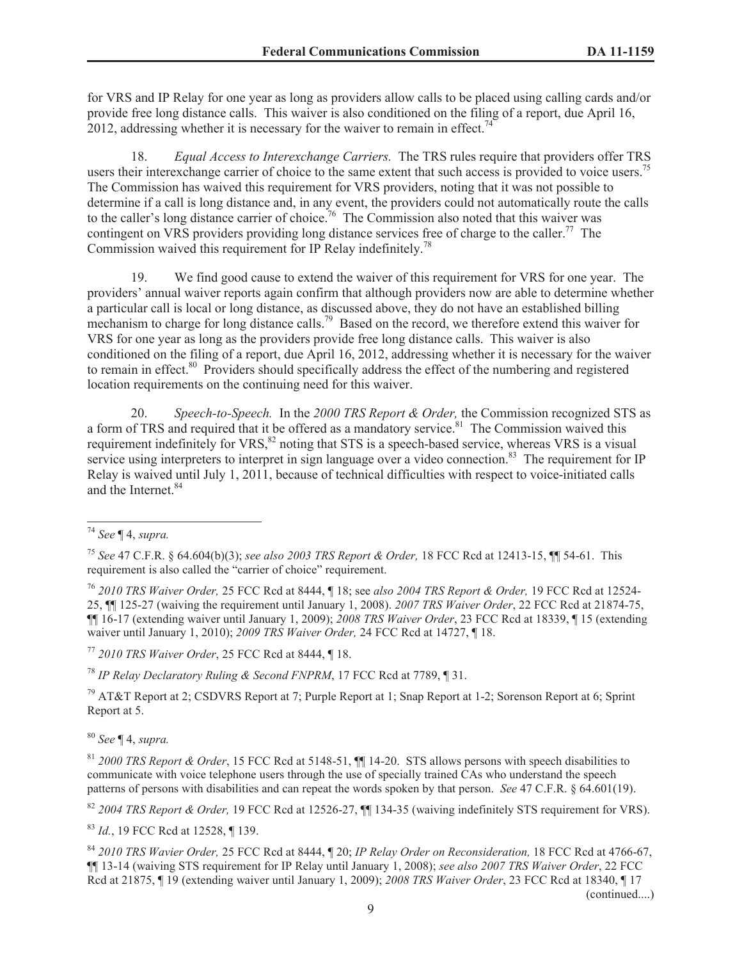for VRS and IP Relay for one year as long as providers allow calls to be placed using calling cards and/or provide free long distance calls. This waiver is also conditioned on the filing of a report, due April 16, 2012, addressing whether it is necessary for the waiver to remain in effect.<sup>74</sup>

18. *Equal Access to Interexchange Carriers.* The TRS rules require that providers offer TRS users their interexchange carrier of choice to the same extent that such access is provided to voice users.<sup>75</sup> The Commission has waived this requirement for VRS providers, noting that it was not possible to determine if a call is long distance and, in any event, the providers could not automatically route the calls to the caller's long distance carrier of choice.<sup>76</sup> The Commission also noted that this waiver was contingent on VRS providers providing long distance services free of charge to the caller.<sup>77</sup> The Commission waived this requirement for IP Relay indefinitely.<sup>78</sup>

19. We find good cause to extend the waiver of this requirement for VRS for one year. The providers' annual waiver reports again confirm that although providers now are able to determine whether a particular call is local or long distance, as discussed above, they do not have an established billing mechanism to charge for long distance calls.<sup>79</sup> Based on the record, we therefore extend this waiver for VRS for one year as long as the providers provide free long distance calls. This waiver is also conditioned on the filing of a report, due April 16, 2012, addressing whether it is necessary for the waiver to remain in effect.<sup>80</sup> Providers should specifically address the effect of the numbering and registered location requirements on the continuing need for this waiver.

20. *Speech-to-Speech.* In the *2000 TRS Report & Order,* the Commission recognized STS as a form of TRS and required that it be offered as a mandatory service.<sup>81</sup> The Commission waived this requirement indefinitely for VRS,<sup>82</sup> noting that STS is a speech-based service, whereas VRS is a visual service using interpreters to interpret in sign language over a video connection.<sup>83</sup> The requirement for IP Relay is waived until July 1, 2011, because of technical difficulties with respect to voice-initiated calls and the Internet.<sup>84</sup>

<sup>77</sup> *2010 TRS Waiver Order*, 25 FCC Rcd at 8444, ¶ 18.

<sup>78</sup> *IP Relay Declaratory Ruling & Second FNPRM*, 17 FCC Rcd at 7789, ¶ 31.

<sup>79</sup> AT&T Report at 2; CSDVRS Report at 7; Purple Report at 1; Snap Report at 1-2; Sorenson Report at 6; Sprint Report at 5.

<sup>80</sup> *See* ¶ 4, *supra.*

<sup>82</sup> *2004 TRS Report & Order,* 19 FCC Rcd at 12526-27, ¶¶ 134-35 (waiving indefinitely STS requirement for VRS).

<sup>83</sup> *Id.*, 19 FCC Rcd at 12528, ¶ 139.

<sup>84</sup> *2010 TRS Wavier Order,* 25 FCC Rcd at 8444, ¶ 20; *IP Relay Order on Reconsideration,* 18 FCC Rcd at 4766-67, ¶¶ 13-14 (waiving STS requirement for IP Relay until January 1, 2008); *see also 2007 TRS Waiver Order*, 22 FCC Rcd at 21875, ¶ 19 (extending waiver until January 1, 2009); *2008 TRS Waiver Order*, 23 FCC Rcd at 18340, ¶ 17 (continued....)

<sup>74</sup> *See* ¶ 4, *supra.*

<sup>75</sup> *See* 47 C.F.R. § 64.604(b)(3); *see also 2003 TRS Report & Order,* 18 FCC Rcd at 12413-15, ¶¶ 54-61. This requirement is also called the "carrier of choice" requirement.

<sup>76</sup> *2010 TRS Waiver Order,* 25 FCC Rcd at 8444, ¶ 18; see *also 2004 TRS Report & Order,* 19 FCC Rcd at 12524- 25, ¶¶ 125-27 (waiving the requirement until January 1, 2008). *2007 TRS Waiver Order*, 22 FCC Rcd at 21874-75, ¶¶ 16-17 (extending waiver until January 1, 2009); *2008 TRS Waiver Order*, 23 FCC Rcd at 18339, ¶ 15 (extending waiver until January 1, 2010); *2009 TRS Waiver Order,* 24 FCC Rcd at 14727, ¶ 18.

<sup>81</sup> *2000 TRS Report & Order*, 15 FCC Rcd at 5148-51, ¶¶ 14-20. STS allows persons with speech disabilities to communicate with voice telephone users through the use of specially trained CAs who understand the speech patterns of persons with disabilities and can repeat the words spoken by that person. *See* 47 C.F.R. § 64.601(19).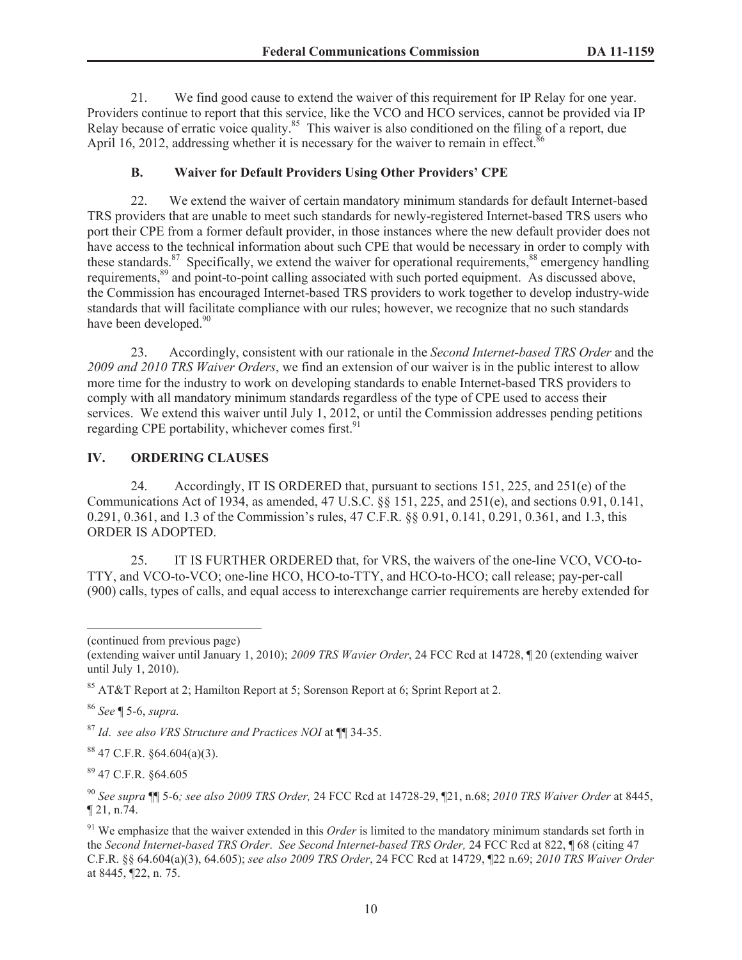21. We find good cause to extend the waiver of this requirement for IP Relay for one year. Providers continue to report that this service, like the VCO and HCO services, cannot be provided via IP Relay because of erratic voice quality.<sup>85</sup> This waiver is also conditioned on the filing of a report, due April 16, 2012, addressing whether it is necessary for the waiver to remain in effect.<sup>8</sup>

## **B. Waiver for Default Providers Using Other Providers' CPE**

22. We extend the waiver of certain mandatory minimum standards for default Internet-based TRS providers that are unable to meet such standards for newly-registered Internet-based TRS users who port their CPE from a former default provider, in those instances where the new default provider does not have access to the technical information about such CPE that would be necessary in order to comply with these standards.<sup>87</sup> Specifically, we extend the waiver for operational requirements,<sup>88</sup> emergency handling requirements,<sup>89</sup> and point-to-point calling associated with such ported equipment. As discussed above, the Commission has encouraged Internet-based TRS providers to work together to develop industry-wide standards that will facilitate compliance with our rules; however, we recognize that no such standards have been developed.<sup>90</sup>

23. Accordingly, consistent with our rationale in the *Second Internet-based TRS Order* and the *2009 and 2010 TRS Waiver Orders*, we find an extension of our waiver is in the public interest to allow more time for the industry to work on developing standards to enable Internet-based TRS providers to comply with all mandatory minimum standards regardless of the type of CPE used to access their services. We extend this waiver until July 1, 2012, or until the Commission addresses pending petitions regarding CPE portability, whichever comes first. $91$ 

## **IV. ORDERING CLAUSES**

24. Accordingly, IT IS ORDERED that, pursuant to sections 151, 225, and 251(e) of the Communications Act of 1934, as amended, 47 U.S.C. §§ 151, 225, and 251(e), and sections 0.91, 0.141, 0.291, 0.361, and 1.3 of the Commission's rules, 47 C.F.R. §§ 0.91, 0.141, 0.291, 0.361, and 1.3, this ORDER IS ADOPTED.

25. IT IS FURTHER ORDERED that, for VRS, the waivers of the one-line VCO, VCO-to-TTY, and VCO-to-VCO; one-line HCO, HCO-to-TTY, and HCO-to-HCO; call release; pay-per-call (900) calls, types of calls, and equal access to interexchange carrier requirements are hereby extended for

<sup>86</sup> *See* ¶ 5-6, *supra.*

<sup>87</sup> *Id*. *see also VRS Structure and Practices NOI* at ¶¶ 34-35.

 $884.694(a)(3)$ .

<sup>89</sup> 47 C.F.R. §64.605

<sup>90</sup> *See supra* ¶¶ 5-6*; see also 2009 TRS Order,* 24 FCC Rcd at 14728-29, ¶21, n.68; *2010 TRS Waiver Order* at 8445, ¶ 21, n.74.

<sup>91</sup> We emphasize that the waiver extended in this *Order* is limited to the mandatory minimum standards set forth in the *Second Internet-based TRS Order*. *See Second Internet-based TRS Order,* 24 FCC Rcd at 822, ¶ 68 (citing 47 C.F.R. §§ 64.604(a)(3), 64.605); *see also 2009 TRS Order*, 24 FCC Rcd at 14729, ¶22 n.69; *2010 TRS Waiver Order* at 8445, ¶22, n. 75.

<sup>(</sup>continued from previous page)

<sup>(</sup>extending waiver until January 1, 2010); *2009 TRS Wavier Order*, 24 FCC Rcd at 14728, ¶ 20 (extending waiver until July 1, 2010).

<sup>85</sup> AT&T Report at 2; Hamilton Report at 5; Sorenson Report at 6; Sprint Report at 2.